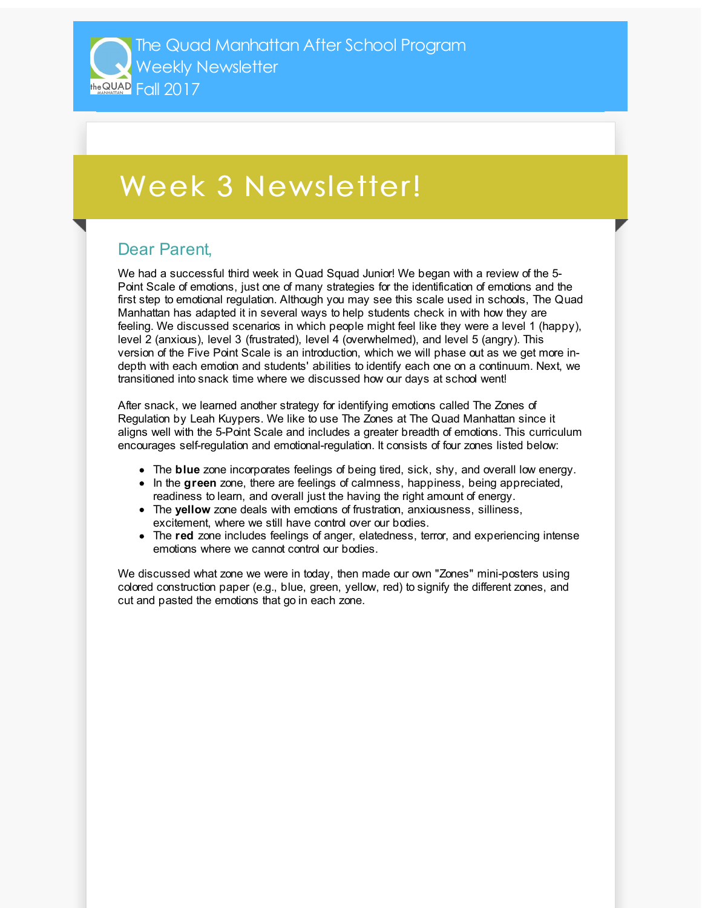## Week 3 Newsletter!

## Dear Parent,

We had a successful third week in Quad Squad Junior! We began with a review of the 5- Point Scale of emotions, just one of many strategies for the identification of emotions and the first step to emotional regulation. Although you may see this scale used in schools, The Quad Manhattan has adapted it in several ways to help students check in with how they are feeling. We discussed scenarios in which people might feel like they were a level 1 (happy), level 2 (anxious), level 3 (frustrated), level 4 (overwhelmed), and level 5 (angry). This version of the Five Point Scale is an introduction, which we will phase out as we get more indepth with each emotion and students' abilities to identify each one on a continuum. Next, we transitioned into snack time where we discussed how our days at school went!

After snack, we learned another strategy for identifying emotions called The Zones of Regulation by Leah Kuypers. We like to use The Zones at The Quad Manhattan since it aligns well with the 5-Point Scale and includes a greater breadth of emotions. This curriculum encourages self-regulation and emotional-regulation. It consists of four zones listed below:

- The **blue** zone incorporates feelings of being tired, sick, shy, and overall low energy.
- In the **green** zone, there are feelings of calmness, happiness, being appreciated, readiness to learn, and overall just the having the right amount of energy.
- The **yellow** zone deals with emotions of frustration, anxiousness, silliness, excitement, where we still have control over our bodies.
- The **red** zone includes feelings of anger, elatedness, terror, and experiencing intense emotions where we cannot control our bodies.

We discussed what zone we were in today, then made our own "Zones" mini-posters using colored construction paper (e.g., blue, green, yellow, red) to signify the different zones, and cut and pasted the emotions that go in each zone.